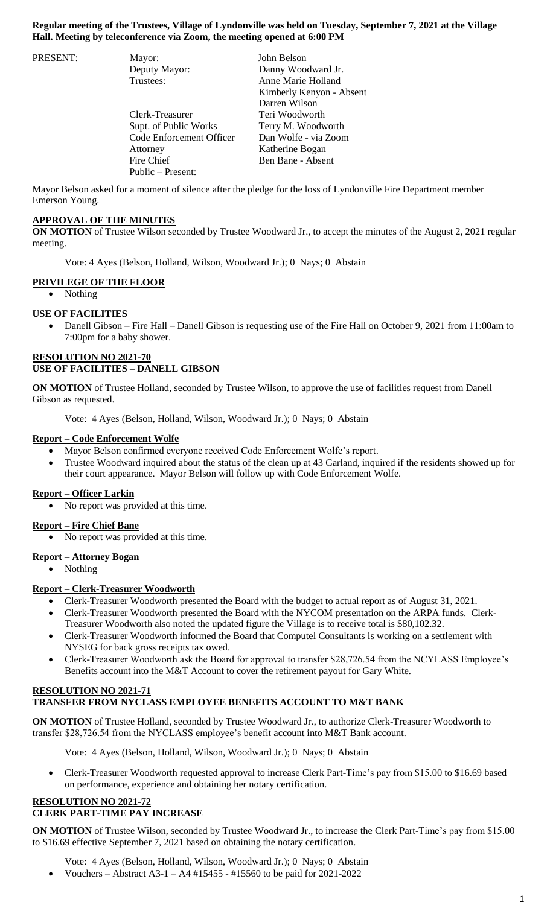## **Regular meeting of the Trustees, Village of Lyndonville was held on Tuesday, September 7, 2021 at the Village Hall. Meeting by teleconference via Zoom, the meeting opened at 6:00 PM**

| PRESENT: | Mayor:                   | John Belson              |
|----------|--------------------------|--------------------------|
|          | Deputy Mayor:            | Danny Woodward Jr.       |
|          | Trustees:                | Anne Marie Holland       |
|          |                          | Kimberly Kenyon - Absent |
|          |                          | Darren Wilson            |
|          | Clerk-Treasurer          | Teri Woodworth           |
|          | Supt. of Public Works    | Terry M. Woodworth       |
|          | Code Enforcement Officer | Dan Wolfe - via Zoom     |
|          | Attorney                 | Katherine Bogan          |
|          | Fire Chief               | Ben Bane - Absent        |
|          | Public - Present:        |                          |

Mayor Belson asked for a moment of silence after the pledge for the loss of Lyndonville Fire Department member Emerson Young.

# **APPROVAL OF THE MINUTES**

**ON MOTION** of Trustee Wilson seconded by Trustee Woodward Jr., to accept the minutes of the August 2, 2021 regular meeting.

Vote: 4 Ayes (Belson, Holland, Wilson, Woodward Jr.); 0 Nays; 0 Abstain

## **PRIVILEGE OF THE FLOOR**

• Nothing

## **USE OF FACILITIES**

 Danell Gibson – Fire Hall – Danell Gibson is requesting use of the Fire Hall on October 9, 2021 from 11:00am to 7:00pm for a baby shower.

# **RESOLUTION NO 2021-70 USE OF FACILITIES – DANELL GIBSON**

**ON MOTION** of Trustee Holland, seconded by Trustee Wilson, to approve the use of facilities request from Danell Gibson as requested.

Vote: 4 Ayes (Belson, Holland, Wilson, Woodward Jr.); 0 Nays; 0 Abstain

## **Report – Code Enforcement Wolfe**

- Mayor Belson confirmed everyone received Code Enforcement Wolfe's report.
- Trustee Woodward inquired about the status of the clean up at 43 Garland, inquired if the residents showed up for their court appearance. Mayor Belson will follow up with Code Enforcement Wolfe.

## **Report – Officer Larkin**

No report was provided at this time.

## **Report – Fire Chief Bane**

No report was provided at this time.

# **Report – Attorney Bogan**

• Nothing

# **Report – Clerk-Treasurer Woodworth**

- Clerk-Treasurer Woodworth presented the Board with the budget to actual report as of August 31, 2021.
- Clerk-Treasurer Woodworth presented the Board with the NYCOM presentation on the ARPA funds. Clerk-Treasurer Woodworth also noted the updated figure the Village is to receive total is \$80,102.32.
- Clerk-Treasurer Woodworth informed the Board that Computel Consultants is working on a settlement with NYSEG for back gross receipts tax owed.
- Clerk-Treasurer Woodworth ask the Board for approval to transfer \$28,726.54 from the NCYLASS Employee's Benefits account into the M&T Account to cover the retirement payout for Gary White.

## **RESOLUTION NO 2021-71 TRANSFER FROM NYCLASS EMPLOYEE BENEFITS ACCOUNT TO M&T BANK**

**ON MOTION** of Trustee Holland, seconded by Trustee Woodward Jr., to authorize Clerk-Treasurer Woodworth to transfer \$28,726.54 from the NYCLASS employee's benefit account into M&T Bank account.

Vote: 4 Ayes (Belson, Holland, Wilson, Woodward Jr.); 0 Nays; 0 Abstain

 Clerk-Treasurer Woodworth requested approval to increase Clerk Part-Time's pay from \$15.00 to \$16.69 based on performance, experience and obtaining her notary certification.

#### **RESOLUTION NO 2021-72 CLERK PART-TIME PAY INCREASE**

**ON MOTION** of Trustee Wilson, seconded by Trustee Woodward Jr., to increase the Clerk Part-Time's pay from \$15.00 to \$16.69 effective September 7, 2021 based on obtaining the notary certification.

Vote: 4 Ayes (Belson, Holland, Wilson, Woodward Jr.); 0 Nays; 0 Abstain

Vouchers – Abstract A3-1 – A4 #15455 - #15560 to be paid for 2021-2022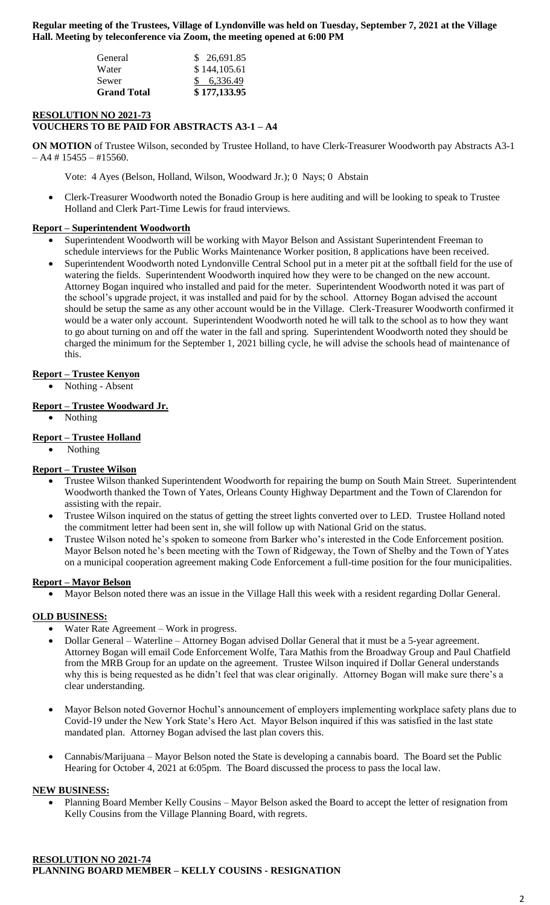**Regular meeting of the Trustees, Village of Lyndonville was held on Tuesday, September 7, 2021 at the Village Hall. Meeting by teleconference via Zoom, the meeting opened at 6:00 PM**

| Sewer<br><b>Grand Total</b> | \$6,336.49<br>\$177,133.95 |
|-----------------------------|----------------------------|
| Water                       | \$144,105.61               |
| General                     | \$ 26,691.85               |
|                             |                            |

# **RESOLUTION NO 2021-73**

**VOUCHERS TO BE PAID FOR ABSTRACTS A3-1 – A4**

**ON MOTION** of Trustee Wilson, seconded by Trustee Holland, to have Clerk-Treasurer Woodworth pay Abstracts A3-1  $- A4 # 15455 - #15560.$ 

Vote: 4 Ayes (Belson, Holland, Wilson, Woodward Jr.); 0 Nays; 0 Abstain

 Clerk-Treasurer Woodworth noted the Bonadio Group is here auditing and will be looking to speak to Trustee Holland and Clerk Part-Time Lewis for fraud interviews.

## **Report – Superintendent Woodworth**

- Superintendent Woodworth will be working with Mayor Belson and Assistant Superintendent Freeman to schedule interviews for the Public Works Maintenance Worker position, 8 applications have been received.
- Superintendent Woodworth noted Lyndonville Central School put in a meter pit at the softball field for the use of watering the fields. Superintendent Woodworth inquired how they were to be changed on the new account. Attorney Bogan inquired who installed and paid for the meter. Superintendent Woodworth noted it was part of the school's upgrade project, it was installed and paid for by the school. Attorney Bogan advised the account should be setup the same as any other account would be in the Village. Clerk-Treasurer Woodworth confirmed it would be a water only account. Superintendent Woodworth noted he will talk to the school as to how they want to go about turning on and off the water in the fall and spring. Superintendent Woodworth noted they should be charged the minimum for the September 1, 2021 billing cycle, he will advise the schools head of maintenance of this.

# **Report – Trustee Kenyon**

Nothing - Absent

#### **Report – Trustee Woodward Jr.**

• Nothing

#### **Report – Trustee Holland**

Nothing

## **Report – Trustee Wilson**

- Trustee Wilson thanked Superintendent Woodworth for repairing the bump on South Main Street. Superintendent Woodworth thanked the Town of Yates, Orleans County Highway Department and the Town of Clarendon for assisting with the repair.
- Trustee Wilson inquired on the status of getting the street lights converted over to LED. Trustee Holland noted the commitment letter had been sent in, she will follow up with National Grid on the status.
- Trustee Wilson noted he's spoken to someone from Barker who's interested in the Code Enforcement position. Mayor Belson noted he's been meeting with the Town of Ridgeway, the Town of Shelby and the Town of Yates on a municipal cooperation agreement making Code Enforcement a full-time position for the four municipalities.

#### **Report – Mayor Belson**

Mayor Belson noted there was an issue in the Village Hall this week with a resident regarding Dollar General.

#### **OLD BUSINESS:**

- Water Rate Agreement Work in progress.
- Dollar General Waterline Attorney Bogan advised Dollar General that it must be a 5-year agreement. Attorney Bogan will email Code Enforcement Wolfe, Tara Mathis from the Broadway Group and Paul Chatfield from the MRB Group for an update on the agreement. Trustee Wilson inquired if Dollar General understands why this is being requested as he didn't feel that was clear originally. Attorney Bogan will make sure there's a clear understanding.
- Mayor Belson noted Governor Hochul's announcement of employers implementing workplace safety plans due to Covid-19 under the New York State's Hero Act. Mayor Belson inquired if this was satisfied in the last state mandated plan. Attorney Bogan advised the last plan covers this.
- Cannabis/Marijuana Mayor Belson noted the State is developing a cannabis board. The Board set the Public Hearing for October 4, 2021 at 6:05pm. The Board discussed the process to pass the local law.

#### **NEW BUSINESS:**

 Planning Board Member Kelly Cousins – Mayor Belson asked the Board to accept the letter of resignation from Kelly Cousins from the Village Planning Board, with regrets.